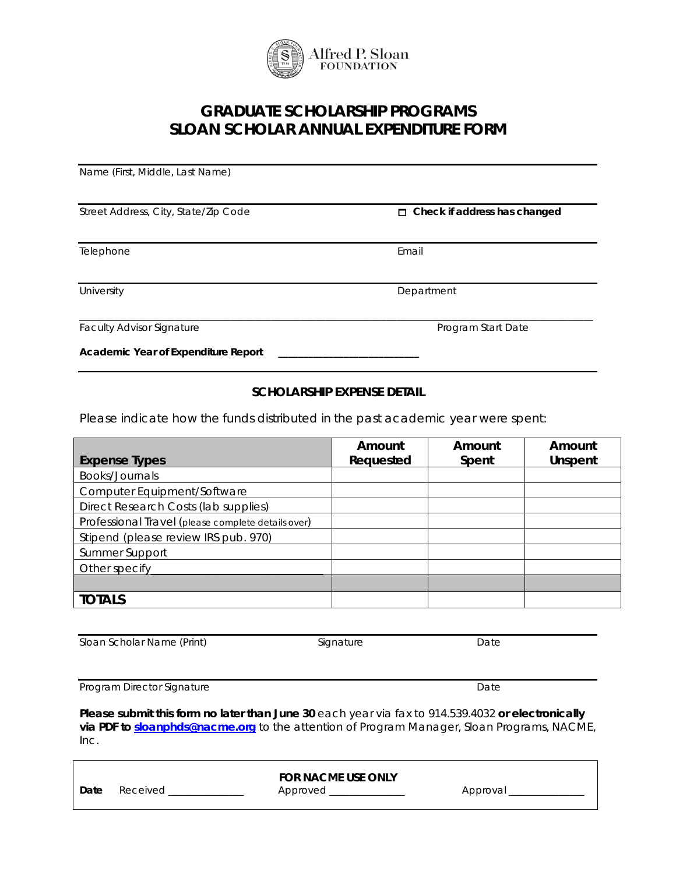

## **GRADUATE SCHOLARSHIP PROGRAMS SLOAN SCHOLAR ANNUAL EXPENDITURE FORM**

Name (First, Middle, Last Name)

Street Address, City, State/Zip Code **Check if address has changed** 

Telephone **Email** 

Faculty Advisor Signature **Program Start Date** Program Start Date

**Academic Year of Expenditure Report \_\_\_\_\_\_\_\_\_\_\_\_\_\_\_\_\_\_\_\_\_\_\_\_\_\_\_\_**

## **SCHOLARSHIP EXPENSE DETAIL**

Please indicate how the funds distributed in the past academic year were spent:

|                                                    | Amount    | Amount | Amount  |
|----------------------------------------------------|-----------|--------|---------|
| <b>Expense Types</b>                               | Requested | Spent  | Unspent |
| Books/Journals                                     |           |        |         |
| Computer Equipment/Software                        |           |        |         |
| Direct Research Costs (lab supplies)               |           |        |         |
| Professional Travel (please complete details over) |           |        |         |
| Stipend (please review IRS pub. 970)               |           |        |         |
| Summer Support                                     |           |        |         |
| Other specify                                      |           |        |         |
|                                                    |           |        |         |
| <b>TOTALS</b>                                      |           |        |         |

Sloan Scholar Name (Print) Signature Signature Date

Program Director Signature **Date** Date Date

**Please submit this form no later than June 30** each year via fax to 914.539.4032 **or electronically via PDF to [sloanphds@nacme.org](mailto:sloanphds@nacme.org)** to the attention of Program Manager, Sloan Programs, NACME, Inc.

|      |          | <b>FOR NACME USE ONLY</b> |         |  |
|------|----------|---------------------------|---------|--|
| Date | Received | Approved                  | Approva |  |



University **Department** 

\_\_\_\_\_\_\_\_\_\_\_\_\_\_\_\_\_\_\_\_\_\_\_\_\_\_\_\_\_\_\_\_\_\_\_\_\_\_\_\_\_\_\_\_\_\_\_\_\_\_\_\_\_\_\_\_\_\_\_\_\_\_\_\_\_\_\_\_\_\_\_\_\_\_\_\_\_\_\_\_\_\_\_\_\_\_\_\_\_\_\_\_\_\_\_\_\_\_\_\_\_\_